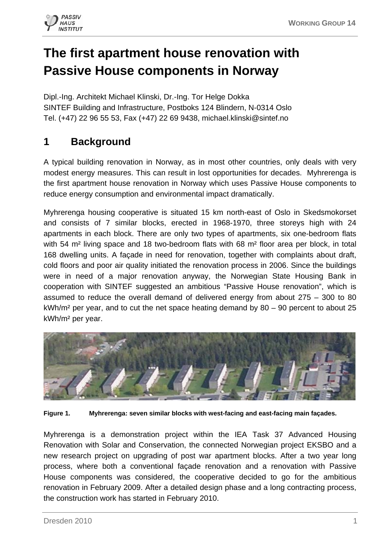

# **The first apartment house renovation with Passive House components in Norway**

Dipl.-Ing. Architekt Michael Klinski, Dr.-Ing. Tor Helge Dokka SINTEF Building and Infrastructure, Postboks 124 Blindern, N-0314 Oslo Tel. (+47) 22 96 55 53, Fax (+47) 22 69 9438, michael.klinski@sintef.no

# **1 Background**

A typical building renovation in Norway, as in most other countries, only deals with very modest energy measures. This can result in lost opportunities for decades. Myhrerenga is the first apartment house renovation in Norway which uses Passive House components to reduce energy consumption and environmental impact dramatically.

Myhrerenga housing cooperative is situated 15 km north-east of Oslo in Skedsmokorset and consists of 7 similar blocks, erected in 1968-1970, three storeys high with 24 apartments in each block. There are only two types of apartments, six one-bedroom flats with 54 m<sup>2</sup> living space and 18 two-bedroom flats with 68 m<sup>2</sup> floor area per block, in total 168 dwelling units. A façade in need for renovation, together with complaints about draft, cold floors and poor air quality initiated the renovation process in 2006. Since the buildings were in need of a major renovation anyway, the Norwegian State Housing Bank in cooperation with SINTEF suggested an ambitious "Passive House renovation", which is assumed to reduce the overall demand of delivered energy from about 275 – 300 to 80  $kWh/m<sup>2</sup>$  per year, and to cut the net space heating demand by 80 – 90 percent to about 25 kWh/m² per year.



**Figure 1. Myhrerenga: seven similar blocks with west-facing and east-facing main façades.** 

Myhrerenga is a demonstration project within the IEA Task 37 Advanced Housing Renovation with Solar and Conservation, the connected Norwegian project EKSBO and a new research project on upgrading of post war apartment blocks. After a two year long process, where both a conventional façade renovation and a renovation with Passive House components was considered, the cooperative decided to go for the ambitious renovation in February 2009. After a detailed design phase and a long contracting process, the construction work has started in February 2010.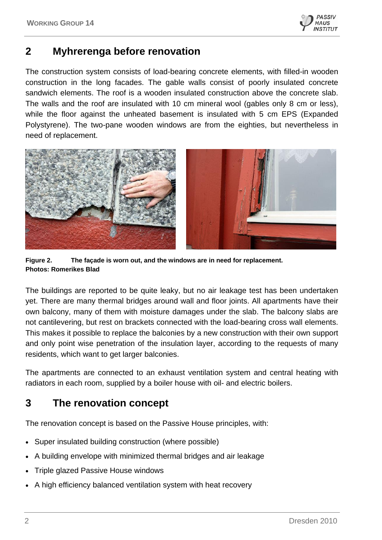

### **2 Myhrerenga before renovation**

The construction system consists of load-bearing concrete elements, with filled-in wooden construction in the long facades. The gable walls consist of poorly insulated concrete sandwich elements. The roof is a wooden insulated construction above the concrete slab. The walls and the roof are insulated with 10 cm mineral wool (gables only 8 cm or less), while the floor against the unheated basement is insulated with 5 cm EPS (Expanded Polystyrene). The two-pane wooden windows are from the eighties, but nevertheless in need of replacement.



**Figure 2. The façade is worn out, and the windows are in need for replacement. Photos: Romerikes Blad** 

The buildings are reported to be quite leaky, but no air leakage test has been undertaken yet. There are many thermal bridges around wall and floor joints. All apartments have their own balcony, many of them with moisture damages under the slab. The balcony slabs are not cantilevering, but rest on brackets connected with the load-bearing cross wall elements. This makes it possible to replace the balconies by a new construction with their own support and only point wise penetration of the insulation layer, according to the requests of many residents, which want to get larger balconies.

The apartments are connected to an exhaust ventilation system and central heating with radiators in each room, supplied by a boiler house with oil- and electric boilers.

## **3 The renovation concept**

The renovation concept is based on the Passive House principles, with:

- Super insulated building construction (where possible)
- A building envelope with minimized thermal bridges and air leakage
- Triple glazed Passive House windows
- A high efficiency balanced ventilation system with heat recovery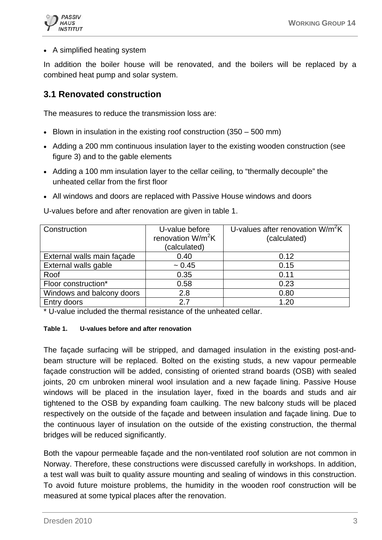

#### A simplified heating system

In addition the boiler house will be renovated, and the boilers will be replaced by a combined heat pump and solar system.

### **3.1 Renovated construction**

The measures to reduce the transmission loss are:

- Blown in insulation in the existing roof construction  $(350 500 \text{ mm})$
- Adding a 200 mm continuous insulation layer to the existing wooden construction (see figure 3) and to the gable elements
- Adding a 100 mm insulation layer to the cellar ceiling, to "thermally decouple" the unheated cellar from the first floor
- All windows and doors are replaced with Passive House windows and doors

| Construction               | U-value before<br>renovation W/m <sup>2</sup> K | U-values after renovation $W/m^2K$<br>(calculated) |
|----------------------------|-------------------------------------------------|----------------------------------------------------|
|                            | (calculated)                                    |                                                    |
| External walls main façade | 0.40                                            | 0.12                                               |
| External walls gable       | $~1$ 0.45                                       | 0.15                                               |
| Roof                       | 0.35                                            | 0.11                                               |
| Floor construction*        | 0.58                                            | 0.23                                               |
| Windows and balcony doors  | 2.8                                             | 0.80                                               |
| Entry doors                | 2.7                                             | 1.20                                               |
|                            |                                                 |                                                    |

U-values before and after renovation are given in table 1.

\* U-value included the thermal resistance of the unheated cellar.

#### **Table 1. U-values before and after renovation**

The façade surfacing will be stripped, and damaged insulation in the existing post-andbeam structure will be replaced. Bolted on the existing studs, a new vapour permeable façade construction will be added, consisting of oriented strand boards (OSB) with sealed joints, 20 cm unbroken mineral wool insulation and a new façade lining. Passive House windows will be placed in the insulation layer, fixed in the boards and studs and air tightened to the OSB by expanding foam caulking. The new balcony studs will be placed respectively on the outside of the façade and between insulation and façade lining. Due to the continuous layer of insulation on the outside of the existing construction, the thermal bridges will be reduced significantly.

Both the vapour permeable façade and the non-ventilated roof solution are not common in Norway. Therefore, these constructions were discussed carefully in workshops. In addition, a test wall was built to quality assure mounting and sealing of windows in this construction. To avoid future moisture problems, the humidity in the wooden roof construction will be measured at some typical places after the renovation.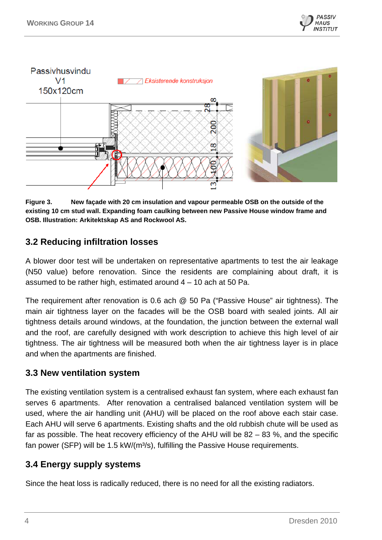



**Figure 3. New façade with 20 cm insulation and vapour permeable OSB on the outside of the existing 10 cm stud wall. Expanding foam caulking between new Passive House window frame and OSB. Illustration: Arkitektskap AS and Rockwool AS.** 

### **3.2 Reducing infiltration losses**

A blower door test will be undertaken on representative apartments to test the air leakage (N50 value) before renovation. Since the residents are complaining about draft, it is assumed to be rather high, estimated around 4 – 10 ach at 50 Pa.

The requirement after renovation is 0.6 ach @ 50 Pa ("Passive House" air tightness). The main air tightness layer on the facades will be the OSB board with sealed joints. All air tightness details around windows, at the foundation, the junction between the external wall and the roof, are carefully designed with work description to achieve this high level of air tightness. The air tightness will be measured both when the air tightness layer is in place and when the apartments are finished.

### **3.3 New ventilation system**

The existing ventilation system is a centralised exhaust fan system, where each exhaust fan serves 6 apartments. After renovation a centralised balanced ventilation system will be used, where the air handling unit (AHU) will be placed on the roof above each stair case. Each AHU will serve 6 apartments. Existing shafts and the old rubbish chute will be used as far as possible. The heat recovery efficiency of the AHU will be 82 – 83 %, and the specific fan power (SFP) will be 1.5 kW/(m<sup>3</sup>/s), fulfilling the Passive House requirements.

### **3.4 Energy supply systems**

Since the heat loss is radically reduced, there is no need for all the existing radiators.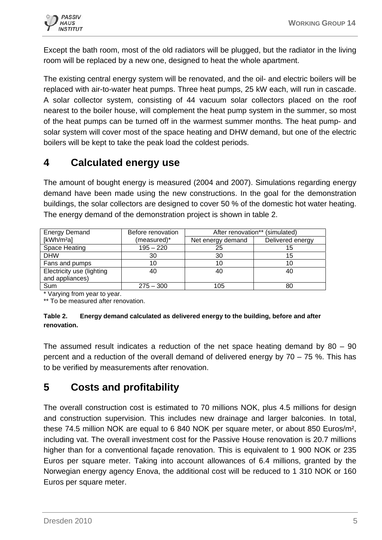

Except the bath room, most of the old radiators will be plugged, but the radiator in the living room will be replaced by a new one, designed to heat the whole apartment.

The existing central energy system will be renovated, and the oil- and electric boilers will be replaced with air-to-water heat pumps. Three heat pumps, 25 kW each, will run in cascade. A solar collector system, consisting of 44 vacuum solar collectors placed on the roof nearest to the boiler house, will complement the heat pump system in the summer, so most of the heat pumps can be turned off in the warmest summer months. The heat pump- and solar system will cover most of the space heating and DHW demand, but one of the electric boilers will be kept to take the peak load the coldest periods.

### **4 Calculated energy use**

The amount of bought energy is measured (2004 and 2007). Simulations regarding energy demand have been made using the new constructions. In the goal for the demonstration buildings, the solar collectors are designed to cover 50 % of the domestic hot water heating. The energy demand of the demonstration project is shown in table 2.

| Before renovation | After renovation** (simulated) |                  |
|-------------------|--------------------------------|------------------|
| (measured)*       | Net energy demand              | Delivered energy |
| $195 - 220$       | 25                             | 15               |
| 30                | 30                             | 15               |
| 10                | 10                             | 10               |
| 40                | 40                             | 40               |
|                   |                                |                  |
| $275 - 300$       | 105                            | 80               |
|                   |                                |                  |

Varying from year to year.

\*\* To be measured after renovation.

#### **Table 2. Energy demand calculated as delivered energy to the building, before and after renovation.**

The assumed result indicates a reduction of the net space heating demand by 80 – 90 percent and a reduction of the overall demand of delivered energy by 70 – 75 %. This has to be verified by measurements after renovation.

## **5 Costs and profitability**

The overall construction cost is estimated to 70 millions NOK, plus 4.5 millions for design and construction supervision. This includes new drainage and larger balconies. In total, these 74.5 million NOK are equal to 6 840 NOK per square meter, or about 850 Euros/m², including vat. The overall investment cost for the Passive House renovation is 20.7 millions higher than for a conventional façade renovation. This is equivalent to 1 900 NOK or 235 Euros per square meter. Taking into account allowances of 6.4 millions, granted by the Norwegian energy agency Enova, the additional cost will be reduced to 1 310 NOK or 160 Euros per square meter.